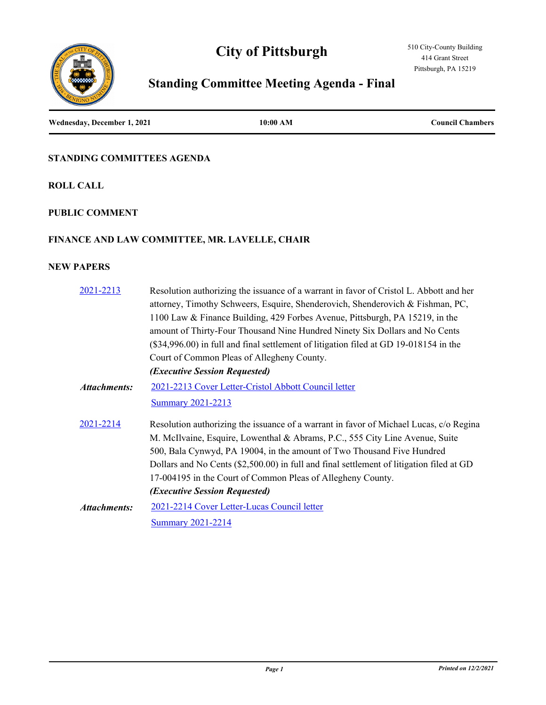# **City of Pittsburgh**



# **Standing Committee Meeting Agenda - Final**

**Wednesday, December 1, 2021 10:00 AM Council Chambers**

# **STANDING COMMITTEES AGENDA**

**ROLL CALL**

# **PUBLIC COMMENT**

# **FINANCE AND LAW COMMITTEE, MR. LAVELLE, CHAIR**

# **NEW PAPERS**

| 2021-2213           | Resolution authorizing the issuance of a warrant in favor of Cristol L. Abbott and her   |
|---------------------|------------------------------------------------------------------------------------------|
|                     | attorney, Timothy Schweers, Esquire, Shenderovich, Shenderovich & Fishman, PC,           |
|                     | 1100 Law & Finance Building, 429 Forbes Avenue, Pittsburgh, PA 15219, in the             |
|                     | amount of Thirty-Four Thousand Nine Hundred Ninety Six Dollars and No Cents              |
|                     | (\$34,996.00) in full and final settlement of litigation filed at GD 19-018154 in the    |
|                     | Court of Common Pleas of Allegheny County.                                               |
|                     | (Executive Session Requested)                                                            |
| <b>Attachments:</b> | 2021-2213 Cover Letter-Cristol Abbott Council letter                                     |
|                     | <b>Summary 2021-2213</b>                                                                 |
| 2021-2214           | Resolution authorizing the issuance of a warrant in favor of Michael Lucas, c/o Regina   |
|                     | M. McIlvaine, Esquire, Lowenthal & Abrams, P.C., 555 City Line Avenue, Suite             |
|                     | 500, Bala Cynwyd, PA 19004, in the amount of Two Thousand Five Hundred                   |
|                     | Dollars and No Cents (\$2,500.00) in full and final settlement of litigation filed at GD |
|                     | 17-004195 in the Court of Common Pleas of Allegheny County.                              |
|                     | (Executive Session Requested)                                                            |
| Attachments:        | 2021-2214 Cover Letter-Lucas Council letter                                              |
|                     | <b>Summary 2021-2214</b>                                                                 |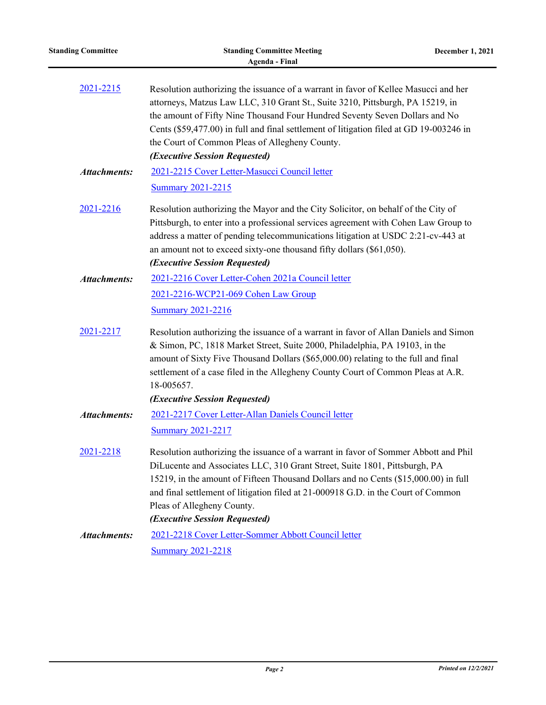| <b>Standing Committee</b> | <b>Standing Committee Meeting</b><br><b>Agenda - Final</b>                                                                                                                                                                                                                                                                                                                                                                         | December 1, 2021 |
|---------------------------|------------------------------------------------------------------------------------------------------------------------------------------------------------------------------------------------------------------------------------------------------------------------------------------------------------------------------------------------------------------------------------------------------------------------------------|------------------|
| 2021-2215                 | Resolution authorizing the issuance of a warrant in favor of Kellee Masucci and her<br>attorneys, Matzus Law LLC, 310 Grant St., Suite 3210, Pittsburgh, PA 15219, in<br>the amount of Fifty Nine Thousand Four Hundred Seventy Seven Dollars and No<br>Cents (\$59,477.00) in full and final settlement of litigation filed at GD 19-003246 in<br>the Court of Common Pleas of Allegheny County.<br>(Executive Session Requested) |                  |
| <b>Attachments:</b>       | 2021-2215 Cover Letter-Masucci Council letter<br><b>Summary 2021-2215</b>                                                                                                                                                                                                                                                                                                                                                          |                  |
| 2021-2216                 | Resolution authorizing the Mayor and the City Solicitor, on behalf of the City of<br>Pittsburgh, to enter into a professional services agreement with Cohen Law Group to<br>address a matter of pending telecommunications litigation at USDC 2:21-cv-443 at<br>an amount not to exceed sixty-one thousand fifty dollars (\$61,050).<br>(Executive Session Requested)                                                              |                  |
| <b>Attachments:</b>       | 2021-2216 Cover Letter-Cohen 2021a Council letter                                                                                                                                                                                                                                                                                                                                                                                  |                  |
|                           | 2021-2216-WCP21-069 Cohen Law Group                                                                                                                                                                                                                                                                                                                                                                                                |                  |
|                           | <b>Summary 2021-2216</b>                                                                                                                                                                                                                                                                                                                                                                                                           |                  |
| 2021-2217                 | Resolution authorizing the issuance of a warrant in favor of Allan Daniels and Simon<br>& Simon, PC, 1818 Market Street, Suite 2000, Philadelphia, PA 19103, in the<br>amount of Sixty Five Thousand Dollars (\$65,000.00) relating to the full and final<br>settlement of a case filed in the Allegheny County Court of Common Pleas at A.R.<br>18-005657.<br>(Executive Session Requested)                                       |                  |
| <b>Attachments:</b>       | 2021-2217 Cover Letter-Allan Daniels Council letter<br><b>Summary 2021-2217</b>                                                                                                                                                                                                                                                                                                                                                    |                  |
| 2021-2218                 | Resolution authorizing the issuance of a warrant in favor of Sommer Abbott and Phil<br>DiLucente and Associates LLC, 310 Grant Street, Suite 1801, Pittsburgh, PA<br>15219, in the amount of Fifteen Thousand Dollars and no Cents (\$15,000.00) in full<br>and final settlement of litigation filed at 21-000918 G.D. in the Court of Common<br>Pleas of Allegheny County.<br>(Executive Session Requested)                       |                  |
| <b>Attachments:</b>       | 2021-2218 Cover Letter-Sommer Abbott Council letter                                                                                                                                                                                                                                                                                                                                                                                |                  |
|                           | <b>Summary 2021-2218</b>                                                                                                                                                                                                                                                                                                                                                                                                           |                  |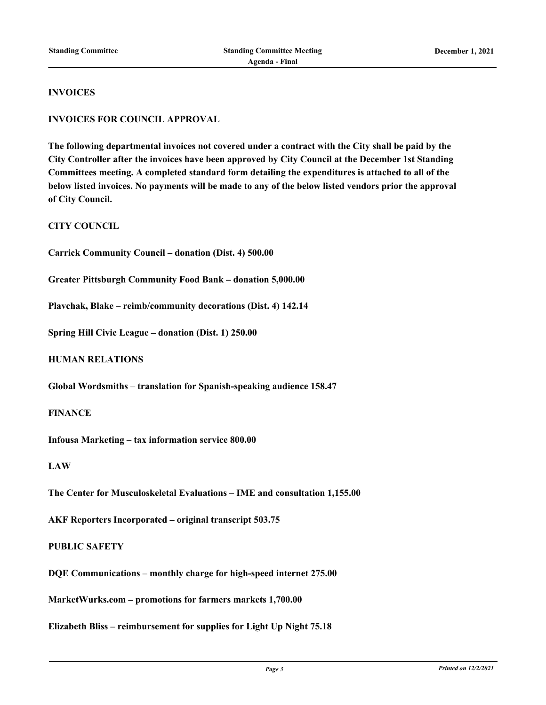#### **INVOICES**

#### **INVOICES FOR COUNCIL APPROVAL**

**The following departmental invoices not covered under a contract with the City shall be paid by the City Controller after the invoices have been approved by City Council at the December 1st Standing Committees meeting. A completed standard form detailing the expenditures is attached to all of the below listed invoices. No payments will be made to any of the below listed vendors prior the approval of City Council.**

#### **CITY COUNCIL**

**Carrick Community Council – donation (Dist. 4) 500.00**

**Greater Pittsburgh Community Food Bank – donation 5,000.00**

**Plavchak, Blake – reimb/community decorations (Dist. 4) 142.14**

**Spring Hill Civic League – donation (Dist. 1) 250.00**

#### **HUMAN RELATIONS**

**Global Wordsmiths – translation for Spanish-speaking audience 158.47**

#### **FINANCE**

**Infousa Marketing – tax information service 800.00**

#### **LAW**

**The Center for Musculoskeletal Evaluations – IME and consultation 1,155.00**

**AKF Reporters Incorporated – original transcript 503.75**

#### **PUBLIC SAFETY**

**DQE Communications – monthly charge for high-speed internet 275.00**

**MarketWurks.com – promotions for farmers markets 1,700.00**

**Elizabeth Bliss – reimbursement for supplies for Light Up Night 75.18**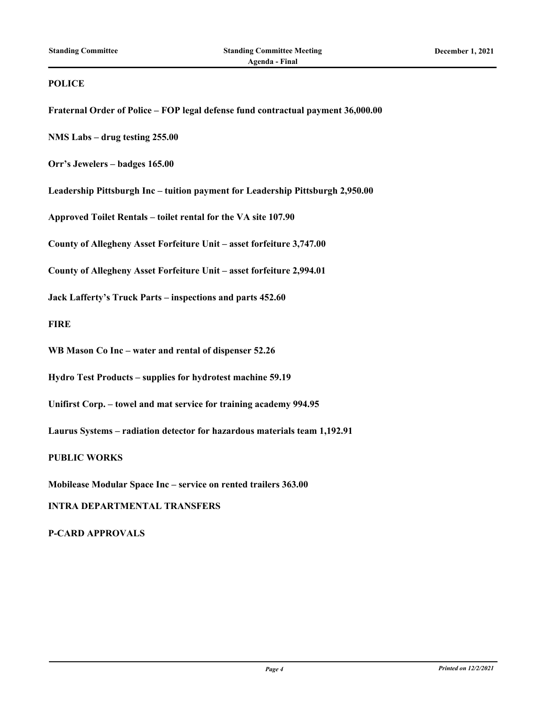#### **POLICE**

**Fraternal Order of Police – FOP legal defense fund contractual payment 36,000.00**

**NMS Labs – drug testing 255.00**

**Orr's Jewelers – badges 165.00**

**Leadership Pittsburgh Inc – tuition payment for Leadership Pittsburgh 2,950.00**

**Approved Toilet Rentals – toilet rental for the VA site 107.90**

**County of Allegheny Asset Forfeiture Unit – asset forfeiture 3,747.00**

**County of Allegheny Asset Forfeiture Unit – asset forfeiture 2,994.01**

**Jack Lafferty's Truck Parts – inspections and parts 452.60**

**FIRE**

**WB Mason Co Inc – water and rental of dispenser 52.26**

**Hydro Test Products – supplies for hydrotest machine 59.19**

**Unifirst Corp. – towel and mat service for training academy 994.95**

**Laurus Systems – radiation detector for hazardous materials team 1,192.91**

**PUBLIC WORKS**

**Mobilease Modular Space Inc – service on rented trailers 363.00**

**INTRA DEPARTMENTAL TRANSFERS**

**P-CARD APPROVALS**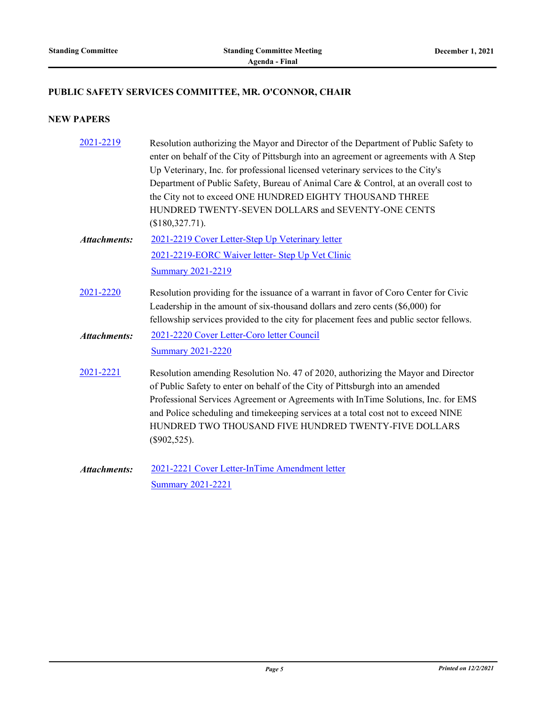# **PUBLIC SAFETY SERVICES COMMITTEE, MR. O'CONNOR, CHAIR**

# **NEW PAPERS**

| 2021-2219           | Resolution authorizing the Mayor and Director of the Department of Public Safety to<br>enter on behalf of the City of Pittsburgh into an agreement or agreements with A Step<br>Up Veterinary, Inc. for professional licensed veterinary services to the City's<br>Department of Public Safety, Bureau of Animal Care & Control, at an overall cost to<br>the City not to exceed ONE HUNDRED EIGHTY THOUSAND THREE<br>HUNDRED TWENTY-SEVEN DOLLARS and SEVENTY-ONE CENTS<br>$($180,327.71)$ . |
|---------------------|-----------------------------------------------------------------------------------------------------------------------------------------------------------------------------------------------------------------------------------------------------------------------------------------------------------------------------------------------------------------------------------------------------------------------------------------------------------------------------------------------|
| <b>Attachments:</b> | 2021-2219 Cover Letter-Step Up Veterinary letter                                                                                                                                                                                                                                                                                                                                                                                                                                              |
|                     | 2021-2219-EORC Waiver letter- Step Up Vet Clinic                                                                                                                                                                                                                                                                                                                                                                                                                                              |
|                     | <b>Summary 2021-2219</b>                                                                                                                                                                                                                                                                                                                                                                                                                                                                      |
| 2021-2220           | Resolution providing for the issuance of a warrant in favor of Coro Center for Civic<br>Leadership in the amount of six-thousand dollars and zero cents $(\$6,000)$ for<br>fellowship services provided to the city for placement fees and public sector fellows.                                                                                                                                                                                                                             |
| <b>Attachments:</b> | 2021-2220 Cover Letter-Coro letter Council                                                                                                                                                                                                                                                                                                                                                                                                                                                    |
|                     | <b>Summary 2021-2220</b>                                                                                                                                                                                                                                                                                                                                                                                                                                                                      |
| 2021-2221           | Resolution amending Resolution No. 47 of 2020, authorizing the Mayor and Director<br>of Public Safety to enter on behalf of the City of Pittsburgh into an amended<br>Professional Services Agreement or Agreements with InTime Solutions, Inc. for EMS<br>and Police scheduling and timekeeping services at a total cost not to exceed NINE<br>HUNDRED TWO THOUSAND FIVE HUNDRED TWENTY-FIVE DOLLARS<br>$(\$902,525).$                                                                       |
| <b>Attachments:</b> | 2021-2221 Cover Letter-InTime Amendment letter                                                                                                                                                                                                                                                                                                                                                                                                                                                |

[Summary 2021-2221](http://pittsburgh.legistar.com/gateway.aspx?M=F&ID=3e8e9673-2e79-4d03-bec0-e1575c71aa2f.docx)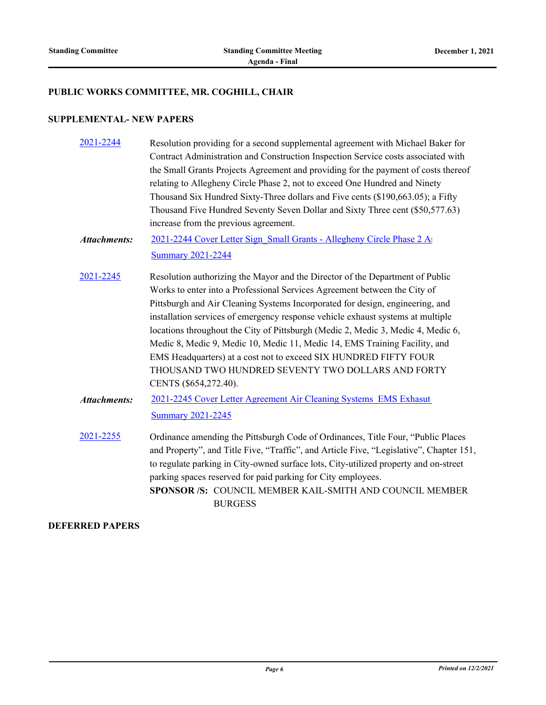#### **PUBLIC WORKS COMMITTEE, MR. COGHILL, CHAIR**

#### **SUPPLEMENTAL- NEW PAPERS**

- [2021-2244](http://pittsburgh.legistar.com/gateway.aspx?m=l&id=/matter.aspx?key=27146) Resolution providing for a second supplemental agreement with Michael Baker for Contract Administration and Construction Inspection Service costs associated with the Small Grants Projects Agreement and providing for the payment of costs thereof relating to Allegheny Circle Phase 2, not to exceed One Hundred and Ninety Thousand Six Hundred Sixty-Three dollars and Five cents (\$190,663.05); a Fifty Thousand Five Hundred Seventy Seven Dollar and Sixty Three cent (\$50,577.63) increase from the previous agreement.
- 2021-2244 Cover Letter Sign\_Small Grants Allegheny Circle Phase 2 And [Summary 2021-2244](http://pittsburgh.legistar.com/gateway.aspx?M=F&ID=544a3919-bec5-4128-b0b4-6265b234c878.docx) *Attachments:*
- [2021-2245](http://pittsburgh.legistar.com/gateway.aspx?m=l&id=/matter.aspx?key=27147) Resolution authorizing the Mayor and the Director of the Department of Public Works to enter into a Professional Services Agreement between the City of Pittsburgh and Air Cleaning Systems Incorporated for design, engineering, and installation services of emergency response vehicle exhaust systems at multiple locations throughout the City of Pittsburgh (Medic 2, Medic 3, Medic 4, Medic 6, Medic 8, Medic 9, Medic 10, Medic 11, Medic 14, EMS Training Facility, and EMS Headquarters) at a cost not to exceed SIX HUNDRED FIFTY FOUR THOUSAND TWO HUNDRED SEVENTY TWO DOLLARS AND FORTY CENTS (\$654,272.40).
- 2021-2245 Cover Letter Agreement Air Cleaning Systems EMS Exhasut [Summary 2021-2245](http://pittsburgh.legistar.com/gateway.aspx?M=F&ID=f7afc649-3ede-42a6-8916-f4a018cf3c14.docx) *Attachments:*
- [2021-2255](http://pittsburgh.legistar.com/gateway.aspx?m=l&id=/matter.aspx?key=27157) Ordinance amending the Pittsburgh Code of Ordinances, Title Four, "Public Places and Property", and Title Five, "Traffic", and Article Five, "Legislative", Chapter 151, to regulate parking in City-owned surface lots, City-utilized property and on-street parking spaces reserved for paid parking for City employees. **SPONSOR /S:** COUNCIL MEMBER KAIL-SMITH AND COUNCIL MEMBER **BURGESS**

### **DEFERRED PAPERS**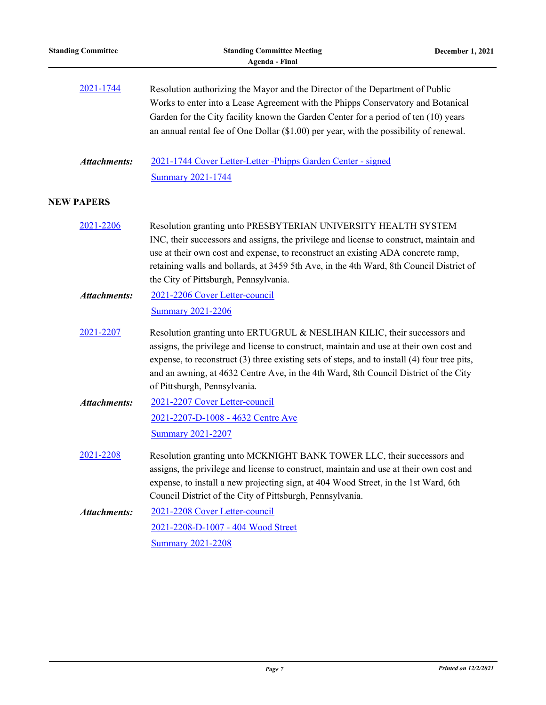| <b>Standing Committee</b> | <b>Standing Committee Meeting</b><br><b>Agenda - Final</b>                                                                                                                                                                                                                                                                                                                                  | December 1, 2021 |
|---------------------------|---------------------------------------------------------------------------------------------------------------------------------------------------------------------------------------------------------------------------------------------------------------------------------------------------------------------------------------------------------------------------------------------|------------------|
| 2021-1744                 | Resolution authorizing the Mayor and the Director of the Department of Public<br>Works to enter into a Lease Agreement with the Phipps Conservatory and Botanical<br>Garden for the City facility known the Garden Center for a period of ten (10) years<br>an annual rental fee of One Dollar (\$1.00) per year, with the possibility of renewal.                                          |                  |
| <b>Attachments:</b>       | 2021-1744 Cover Letter-Letter -Phipps Garden Center - signed<br><b>Summary 2021-1744</b>                                                                                                                                                                                                                                                                                                    |                  |
| <b>NEW PAPERS</b>         |                                                                                                                                                                                                                                                                                                                                                                                             |                  |
| 2021-2206                 | Resolution granting unto PRESBYTERIAN UNIVERSITY HEALTH SYSTEM<br>INC, their successors and assigns, the privilege and license to construct, maintain and<br>use at their own cost and expense, to reconstruct an existing ADA concrete ramp,<br>retaining walls and bollards, at 3459 5th Ave, in the 4th Ward, 8th Council District of<br>the City of Pittsburgh, Pennsylvania.           |                  |
| <b>Attachments:</b>       | 2021-2206 Cover Letter-council<br><b>Summary 2021-2206</b>                                                                                                                                                                                                                                                                                                                                  |                  |
| 2021-2207                 | Resolution granting unto ERTUGRUL & NESLIHAN KILIC, their successors and<br>assigns, the privilege and license to construct, maintain and use at their own cost and<br>expense, to reconstruct (3) three existing sets of steps, and to install (4) four tree pits,<br>and an awning, at 4632 Centre Ave, in the 4th Ward, 8th Council District of the City<br>of Pittsburgh, Pennsylvania. |                  |
| <b>Attachments:</b>       | 2021-2207 Cover Letter-council                                                                                                                                                                                                                                                                                                                                                              |                  |
|                           | 2021-2207-D-1008 - 4632 Centre Ave<br><b>Summary 2021-2207</b>                                                                                                                                                                                                                                                                                                                              |                  |
| 2021-2208                 | Resolution granting unto MCKNIGHT BANK TOWER LLC, their successors and<br>assigns, the privilege and license to construct, maintain and use at their own cost and<br>expense, to install a new projecting sign, at 404 Wood Street, in the 1st Ward, 6th<br>Council District of the City of Pittsburgh, Pennsylvania.                                                                       |                  |
| <b>Attachments:</b>       | 2021-2208 Cover Letter-council<br>2021-2208-D-1007 - 404 Wood Street<br><b>Summary 2021-2208</b>                                                                                                                                                                                                                                                                                            |                  |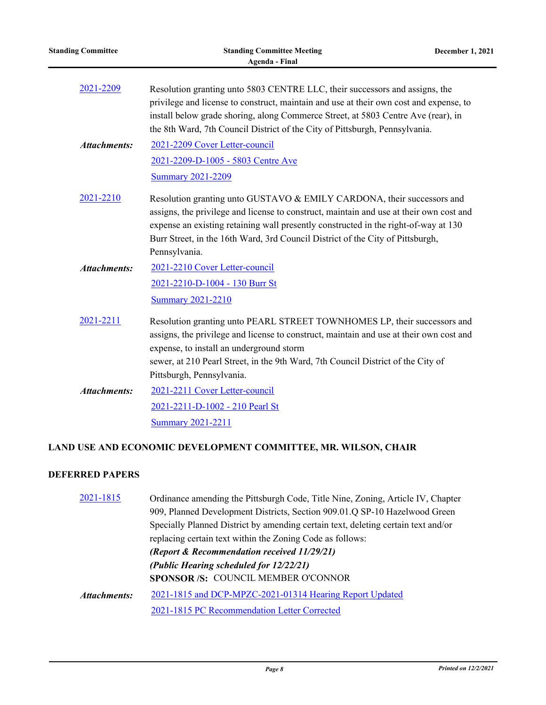| <b>Standing Committee</b> | <b>Standing Committee Meeting</b><br><b>Agenda - Final</b>                                                                                                                                                                                                                                                                                                  | <b>December 1, 2021</b> |
|---------------------------|-------------------------------------------------------------------------------------------------------------------------------------------------------------------------------------------------------------------------------------------------------------------------------------------------------------------------------------------------------------|-------------------------|
| 2021-2209                 | Resolution granting unto 5803 CENTRE LLC, their successors and assigns, the<br>privilege and license to construct, maintain and use at their own cost and expense, to<br>install below grade shoring, along Commerce Street, at 5803 Centre Ave (rear), in<br>the 8th Ward, 7th Council District of the City of Pittsburgh, Pennsylvania.                   |                         |
| <b>Attachments:</b>       | 2021-2209 Cover Letter-council<br>2021-2209-D-1005 - 5803 Centre Ave<br><b>Summary 2021-2209</b>                                                                                                                                                                                                                                                            |                         |
| 2021-2210                 | Resolution granting unto GUSTAVO & EMILY CARDONA, their successors and<br>assigns, the privilege and license to construct, maintain and use at their own cost and<br>expense an existing retaining wall presently constructed in the right-of-way at 130<br>Burr Street, in the 16th Ward, 3rd Council District of the City of Pittsburgh,<br>Pennsylvania. |                         |
| <b>Attachments:</b>       | 2021-2210 Cover Letter-council<br>2021-2210-D-1004 - 130 Burr St<br><b>Summary 2021-2210</b>                                                                                                                                                                                                                                                                |                         |
| 2021-2211                 | Resolution granting unto PEARL STREET TOWNHOMES LP, their successors and<br>assigns, the privilege and license to construct, maintain and use at their own cost and<br>expense, to install an underground storm<br>sewer, at 210 Pearl Street, in the 9th Ward, 7th Council District of the City of<br>Pittsburgh, Pennsylvania.                            |                         |
| <b>Attachments:</b>       | 2021-2211 Cover Letter-council<br>2021-2211-D-1002 - 210 Pearl St<br><b>Summary 2021-2211</b>                                                                                                                                                                                                                                                               |                         |

# **LAND USE AND ECONOMIC DEVELOPMENT COMMITTEE, MR. WILSON, CHAIR**

# **DEFERRED PAPERS**

| 2021-1815    | Ordinance amending the Pittsburgh Code, Title Nine, Zoning, Article IV, Chapter   |
|--------------|-----------------------------------------------------------------------------------|
|              | 909, Planned Development Districts, Section 909.01.Q SP-10 Hazelwood Green        |
|              | Specially Planned District by amending certain text, deleting certain text and/or |
|              | replacing certain text within the Zoning Code as follows:                         |
|              | (Report & Recommendation received 11/29/21)                                       |
|              | (Public Hearing scheduled for 12/22/21)                                           |
|              | <b>SPONSOR/S: COUNCIL MEMBER O'CONNOR</b>                                         |
| Attachments: | 2021-1815 and DCP-MPZC-2021-01314 Hearing Report Updated                          |
|              | 2021-1815 PC Recommendation Letter Corrected                                      |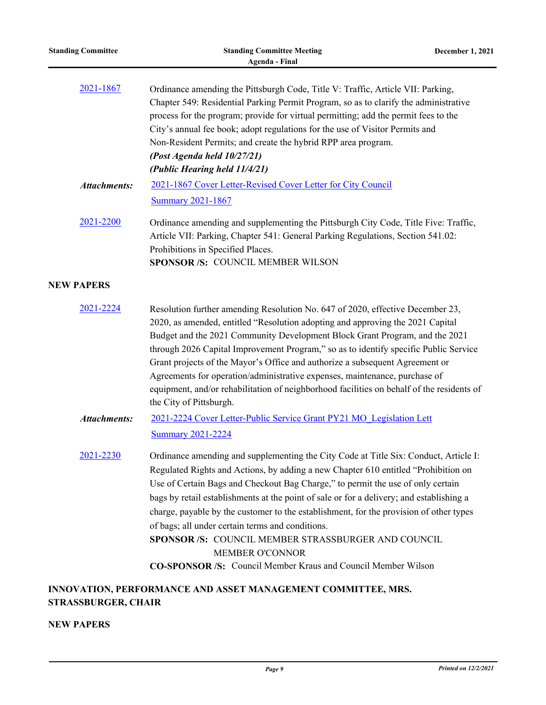| <b>Standing Committee</b> | <b>Standing Committee Meeting</b><br><b>Agenda - Final</b>                                                                                                                                                                                                                                                                                                                                                                                                                                                                                                                                                                                                | December 1, 2021 |
|---------------------------|-----------------------------------------------------------------------------------------------------------------------------------------------------------------------------------------------------------------------------------------------------------------------------------------------------------------------------------------------------------------------------------------------------------------------------------------------------------------------------------------------------------------------------------------------------------------------------------------------------------------------------------------------------------|------------------|
| 2021-1867                 | Ordinance amending the Pittsburgh Code, Title V: Traffic, Article VII: Parking,<br>Chapter 549: Residential Parking Permit Program, so as to clarify the administrative<br>process for the program; provide for virtual permitting; add the permit fees to the<br>City's annual fee book; adopt regulations for the use of Visitor Permits and<br>Non-Resident Permits; and create the hybrid RPP area program.<br>(Post Agenda held 10/27/21)<br>(Public Hearing held 11/4/21)                                                                                                                                                                           |                  |
| <b>Attachments:</b>       | 2021-1867 Cover Letter-Revised Cover Letter for City Council                                                                                                                                                                                                                                                                                                                                                                                                                                                                                                                                                                                              |                  |
| 2021-2200                 | <b>Summary 2021-1867</b><br>Ordinance amending and supplementing the Pittsburgh City Code, Title Five: Traffic,<br>Article VII: Parking, Chapter 541: General Parking Regulations, Section 541.02:<br>Prohibitions in Specified Places.<br>SPONSOR /S: COUNCIL MEMBER WILSON                                                                                                                                                                                                                                                                                                                                                                              |                  |
| <b>NEW PAPERS</b>         |                                                                                                                                                                                                                                                                                                                                                                                                                                                                                                                                                                                                                                                           |                  |
| 2021-2224                 | Resolution further amending Resolution No. 647 of 2020, effective December 23,<br>2020, as amended, entitled "Resolution adopting and approving the 2021 Capital<br>Budget and the 2021 Community Development Block Grant Program, and the 2021<br>through 2026 Capital Improvement Program," so as to identify specific Public Service<br>Grant projects of the Mayor's Office and authorize a subsequent Agreement or<br>Agreements for operation/administrative expenses, maintenance, purchase of<br>equipment, and/or rehabilitation of neighborhood facilities on behalf of the residents of<br>the City of Pittsburgh.                             |                  |
| <b>Attachments:</b>       | 2021-2224 Cover Letter-Public Service Grant PY21 MO Legislation Lett<br><b>Summary 2021-2224</b>                                                                                                                                                                                                                                                                                                                                                                                                                                                                                                                                                          |                  |
| 2021-2230                 | Ordinance amending and supplementing the City Code at Title Six: Conduct, Article I:<br>Regulated Rights and Actions, by adding a new Chapter 610 entitled "Prohibition on<br>Use of Certain Bags and Checkout Bag Charge," to permit the use of only certain<br>bags by retail establishments at the point of sale or for a delivery; and establishing a<br>charge, payable by the customer to the establishment, for the provision of other types<br>of bags; all under certain terms and conditions.<br>SPONSOR /S: COUNCIL MEMBER STRASSBURGER AND COUNCIL<br>MEMBER O'CONNOR<br><b>CO-SPONSOR /S:</b> Council Member Kraus and Council Member Wilson |                  |
| STRASSBURGER, CHAIR       | INNOVATION, PERFORMANCE AND ASSET MANAGEMENT COMMITTEE, MRS.                                                                                                                                                                                                                                                                                                                                                                                                                                                                                                                                                                                              |                  |

**NEW PAPERS**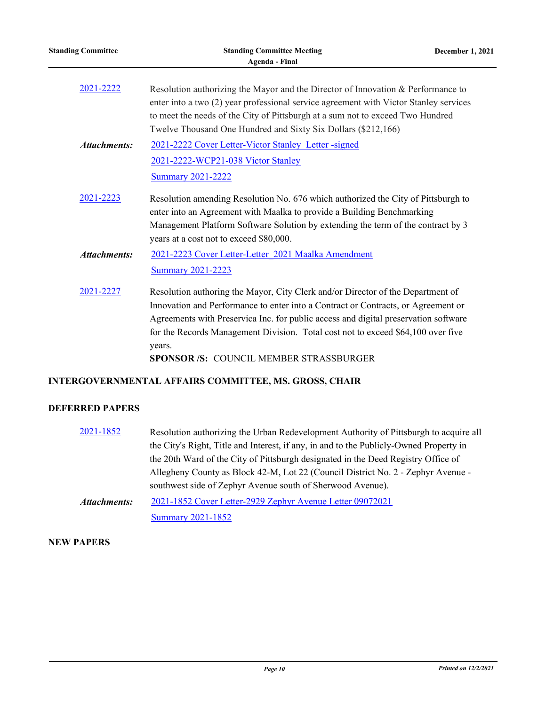| <b>Standing Committee</b> | <b>Standing Committee Meeting</b><br><b>Agenda - Final</b>                                                                                                                                                                                                                                                                                                                                                 | December 1, 2021 |
|---------------------------|------------------------------------------------------------------------------------------------------------------------------------------------------------------------------------------------------------------------------------------------------------------------------------------------------------------------------------------------------------------------------------------------------------|------------------|
| 2021-2222                 | Resolution authorizing the Mayor and the Director of Innovation & Performance to<br>enter into a two (2) year professional service agreement with Victor Stanley services<br>to meet the needs of the City of Pittsburgh at a sum not to exceed Two Hundred<br>Twelve Thousand One Hundred and Sixty Six Dollars (\$212,166)                                                                               |                  |
| <b>Attachments:</b>       | 2021-2222 Cover Letter-Victor Stanley Letter-signed<br>2021-2222-WCP21-038 Victor Stanley<br><b>Summary 2021-2222</b>                                                                                                                                                                                                                                                                                      |                  |
| 2021-2223                 | Resolution amending Resolution No. 676 which authorized the City of Pittsburgh to<br>enter into an Agreement with Maalka to provide a Building Benchmarking<br>Management Platform Software Solution by extending the term of the contract by 3<br>years at a cost not to exceed \$80,000.                                                                                                                 |                  |
| <b>Attachments:</b>       | 2021-2223 Cover Letter-Letter 2021 Maalka Amendment<br><b>Summary 2021-2223</b>                                                                                                                                                                                                                                                                                                                            |                  |
| 2021-2227                 | Resolution authoring the Mayor, City Clerk and/or Director of the Department of<br>Innovation and Performance to enter into a Contract or Contracts, or Agreement or<br>Agreements with Preservica Inc. for public access and digital preservation software<br>for the Records Management Division. Total cost not to exceed \$64,100 over five<br>years.<br><b>SPONSOR/S: COUNCIL MEMBER STRASSBURGER</b> |                  |

# **INTERGOVERNMENTAL AFFAIRS COMMITTEE, MS. GROSS, CHAIR**

# **DEFERRED PAPERS**

[2021-1852](http://pittsburgh.legistar.com/gateway.aspx?m=l&id=/matter.aspx?key=26722) Resolution authorizing the Urban Redevelopment Authority of Pittsburgh to acquire all the City's Right, Title and Interest, if any, in and to the Publicly-Owned Property in the 20th Ward of the City of Pittsburgh designated in the Deed Registry Office of Allegheny County as Block 42-M, Lot 22 (Council District No. 2 - Zephyr Avenue southwest side of Zephyr Avenue south of Sherwood Avenue). [2021-1852 Cover Letter-2929 Zephyr Avenue Letter 09072021](http://pittsburgh.legistar.com/gateway.aspx?M=F&ID=3017bdf0-14d5-45ae-a99c-21c29a0a8bbd.pdf) [Summary 2021-1852](http://pittsburgh.legistar.com/gateway.aspx?M=F&ID=1e8b7401-5e4b-4908-9428-b736e0f7b95b.docx) *Attachments:*

### **NEW PAPERS**